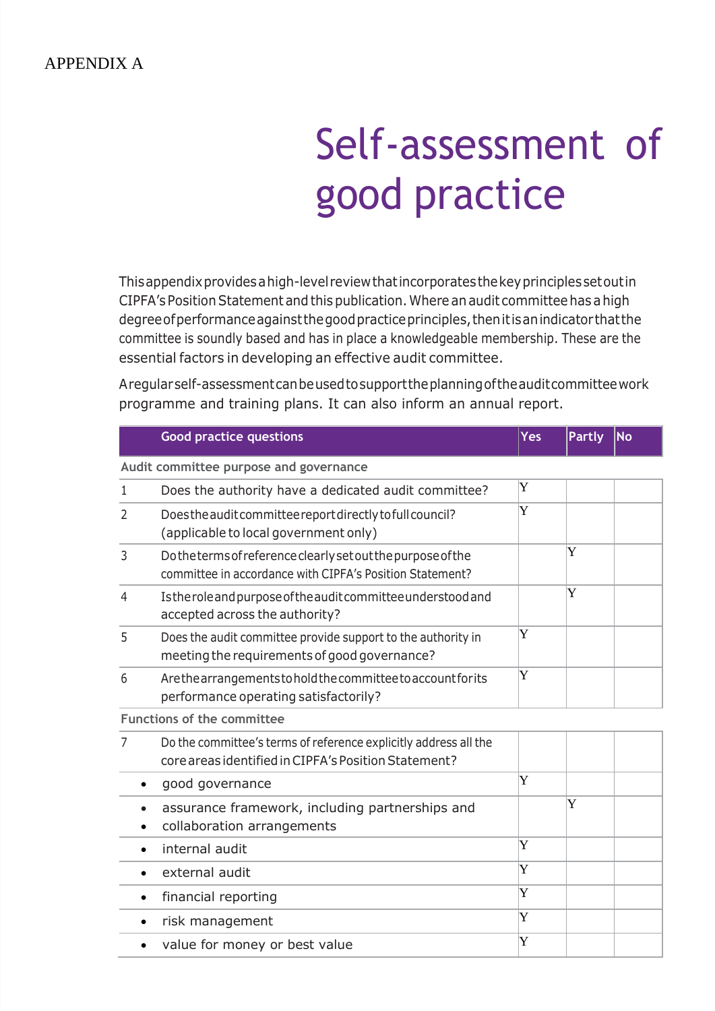## APPENDIX A

## Self-assessment of good practice

Thisappendixprovidesahigh-level reviewthatincorporatesthekeyprinciplessetoutin CIPFA's Position Statement and this publication. Where an audit committee has a high degree of performance against the good practice principles, then it is an indicator that the committee is soundly based and has in place a knowledgeable membership. These are the essential factors in developing an effective audit committee.

Aregularself-assessmentcanbeusedtosupporttheplanningoftheauditcommitteework programme and training plans. It can also inform an annual report.

|                                   | <b>Good practice questions</b>                                                                                           | Yes | <b>Partly</b> | <b>No</b> |
|-----------------------------------|--------------------------------------------------------------------------------------------------------------------------|-----|---------------|-----------|
|                                   | Audit committee purpose and governance                                                                                   |     |               |           |
| 1                                 | Does the authority have a dedicated audit committee?                                                                     | Y   |               |           |
| 2                                 | Does the audit committee report directly to full council?<br>(applicable to local government only)                       | Y   |               |           |
| 3                                 | Dotheterms of reference clearly set out the purpose of the<br>committee in accordance with CIPFA's Position Statement?   |     | Y             |           |
| $\overline{4}$                    | Istheroleand purpose of the audit committee understood and<br>accepted across the authority?                             |     | Y             |           |
| 5                                 | Does the audit committee provide support to the authority in<br>meeting the requirements of good governance?             | Y   |               |           |
| 6                                 | Are the arrangements to hold the committee to account for its<br>performance operating satisfactorily?                   | Y   |               |           |
| <b>Functions of the committee</b> |                                                                                                                          |     |               |           |
| 7                                 | Do the committee's terms of reference explicitly address all the<br>core areas identified in CIPFA's Position Statement? |     |               |           |
| $\bullet$                         | good governance                                                                                                          | Y   |               |           |
|                                   | assurance framework, including partnerships and<br>collaboration arrangements                                            |     | Y             |           |
| $\bullet$                         | internal audit                                                                                                           | Y   |               |           |
| $\bullet$                         | external audit                                                                                                           | Y   |               |           |
| $\bullet$                         | financial reporting                                                                                                      | Y   |               |           |
| $\bullet$                         | risk management                                                                                                          | Y   |               |           |
|                                   | value for money or best value                                                                                            | Y   |               |           |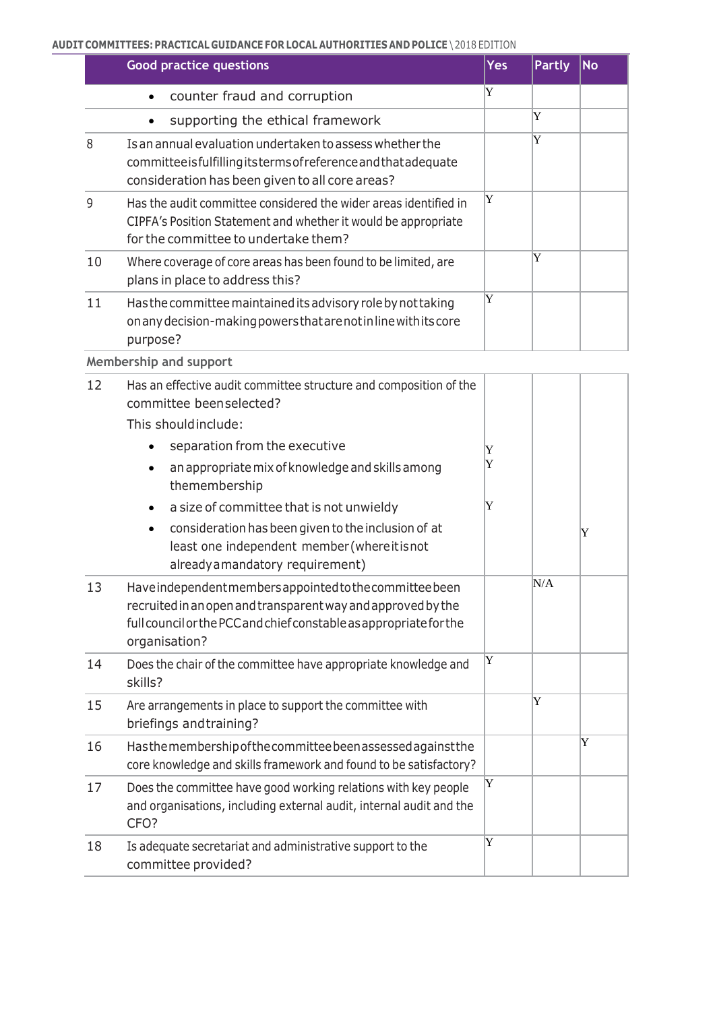## **AUDIT COMMITTEES: PRACTICAL GUIDANCE FOR LOCAL AUTHORITIES AND POLICE** \ 2018 EDITION

|    | <b>Good practice questions</b>                                                                                                                                                  | <b>Yes</b> | <b>Partly</b> | <b>No</b> |
|----|---------------------------------------------------------------------------------------------------------------------------------------------------------------------------------|------------|---------------|-----------|
|    | counter fraud and corruption<br>$\bullet$                                                                                                                                       | Y          |               |           |
|    | supporting the ethical framework                                                                                                                                                |            | Y             |           |
| 8  | Is an annual evaluation undertaken to assess whether the<br>committee is fulfilling its terms of reference and that adequate<br>consideration has been given to all core areas? |            | Y             |           |
| 9  | Has the audit committee considered the wider areas identified in<br>CIPFA's Position Statement and whether it would be appropriate<br>for the committee to undertake them?      | Y          |               |           |
| 10 | Where coverage of core areas has been found to be limited, are<br>plans in place to address this?                                                                               |            | Y             |           |
| 11 | Has the committee maintained its advisory role by not taking<br>on any decision-making powers that are not inline with its core<br>purpose?                                     | Y          |               |           |

**Membership and support**

| 12 | Has an effective audit committee structure and composition of the<br>committee beenselected?                                                                                                                    |   |     |   |
|----|-----------------------------------------------------------------------------------------------------------------------------------------------------------------------------------------------------------------|---|-----|---|
|    | This should include:                                                                                                                                                                                            |   |     |   |
|    | separation from the executive                                                                                                                                                                                   | Y |     |   |
|    | an appropriate mix of knowledge and skills among<br>themembership                                                                                                                                               | Y |     |   |
|    | a size of committee that is not unwieldy<br>$\bullet$                                                                                                                                                           | Y |     |   |
|    | consideration has been given to the inclusion of at<br>$\bullet$<br>least one independent member (whereitisnot<br>already a mandatory requirement)                                                              |   |     | Y |
| 13 | Have independent members appointed to the committee been<br>recruited in an open and transparent way and approved by the<br>full council or the PCC and chief constable as appropriate for the<br>organisation? |   | N/A |   |
| 14 | Does the chair of the committee have appropriate knowledge and<br>skills?                                                                                                                                       | Y |     |   |
| 15 | Are arrangements in place to support the committee with<br>briefings and training?                                                                                                                              |   | Y   |   |
| 16 | Hasthemembership of the committee been assessed against the<br>core knowledge and skills framework and found to be satisfactory?                                                                                |   |     | Y |
| 17 | Does the committee have good working relations with key people<br>and organisations, including external audit, internal audit and the<br>CFO?                                                                   | Y |     |   |
| 18 | Is adequate secretariat and administrative support to the<br>committee provided?                                                                                                                                | Y |     |   |